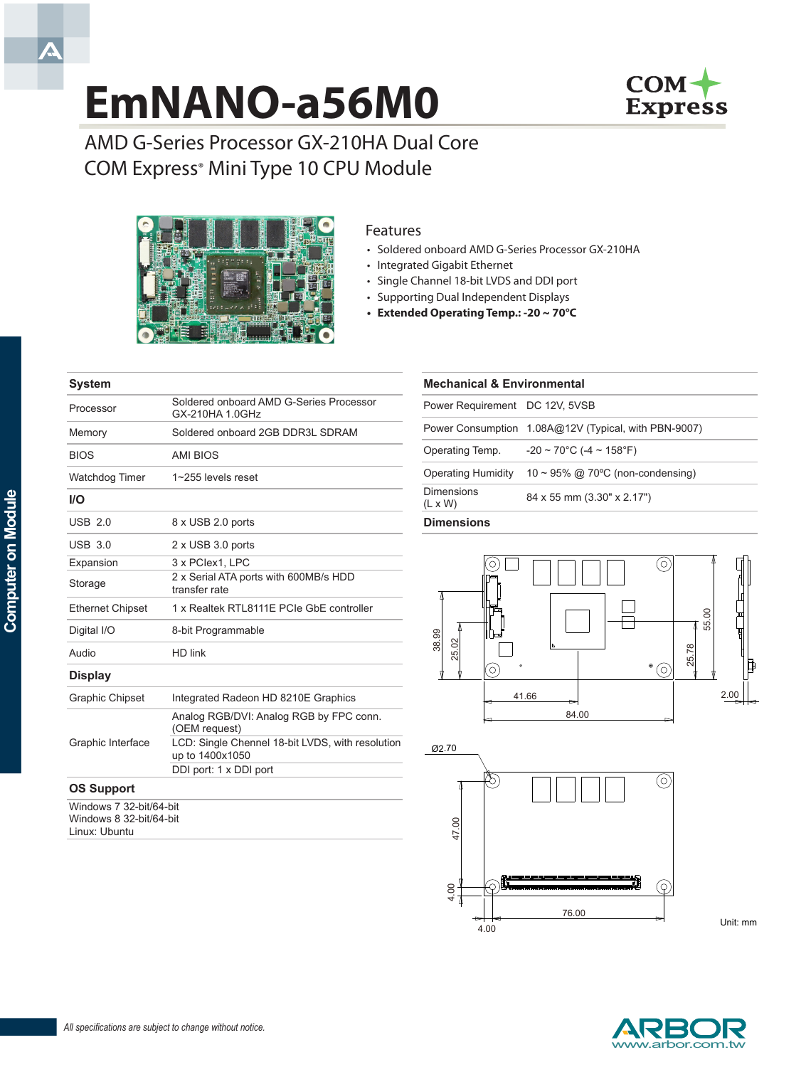# **EmNANO-a56M0**



AMD G-Series Processor GX-210HA Dual Core COM Express<sup>®</sup> Mini Type 10 CPU Module



Processor Soldered onboard AMD G-Series Processor GX-210HA 1.0GHz Memory Soldered onboard 2GB DDR3L SDRAM

## Features

- Soldered onboard AMD G-Series Processor GX-210HA
- • Integrated Gigabit Ethernet
	- • Single Channel 18-bit LVDS and DDI port
	- • Supporting Dual Independent Displays
	- **• Extended Operating Temp.: -20 ~ 70°C**

| <b>Mechanical &amp; Environmental</b> |                                                      |
|---------------------------------------|------------------------------------------------------|
| Power Requirement DC 12V, 5VSB        |                                                      |
|                                       | Power Consumption 1.08A@12V (Typical, with PBN-9007) |
| Operating Temp.                       | $-20 \sim 70^{\circ}$ C (-4 ~ 158°F)                 |
| <b>Operating Humidity</b>             | $10 \sim 95\%$ @ 70°C (non-condensing)               |
| Dimensions<br>$(L \times W)$          | 84 x 55 mm (3.30" x 2.17")                           |

#### **Dimensions**





Unit: mm



**System**

BIOS AMI BIOS

# Watchdog Timer 1~255 levels reset **I/O** USB 2.0 8 x USB 2.0 ports USB 3.0 2 x USB 3.0 ports Expansion 3 x PCIex1, LPC Storage 2 x Serial ATA ports with 600MB/s HDD transfer rate Ethernet Chipset 1 x Realtek RTL8111E PCIe GbE controller Digital I/O 8-bit Programmable Audio HD link **Display** Graphic Chipset Integrated Radeon HD 8210E Graphics Graphic Interface Analog RGB/DVI: Analog RGB by FPC conn. (OEM request) LCD: Single Chennel 18-bit LVDS, with resolution up to 1400x1050 DDI port: 1 x DDI port **OS Support**

Windows 7 32-bit/64-bit Windows 8 32-bit/64-bit Linux: Ubuntu